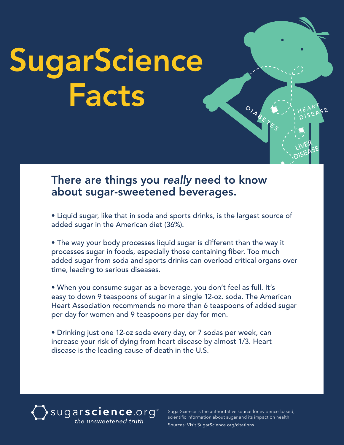# **SugarScience** Facts

#### There are things you *really* need to know about sugar-sweetened beverages.

• Liquid sugar, like that in soda and sports drinks, is the largest source of added sugar in the American diet (36%).

• The way your body processes liquid sugar is different than the way it processes sugar in foods, especially those containing fiber. Too much added sugar from soda and sports drinks can overload critical organs over time, leading to serious diseases.

• When you consume sugar as a beverage, you don't feel as full. It's easy to down 9 teaspoons of sugar in a single 12-oz. soda. The American Heart Association recommends no more than 6 teaspoons of added sugar per day for women and 9 teaspoons per day for men.

• Drinking just one 12-oz soda every day, or 7 sodas per week, can increase your risk of dying from heart disease by almost 1/3. Heart disease is the leading cause of death in the U.S.

### sugarscience.org<sup>\*\*</sup><br>the unsweetened truth

SugarScience is the authoritative source for evidence-based, scientific information about sugar and its impact on health. Sources: Visit SugarScience.org/citations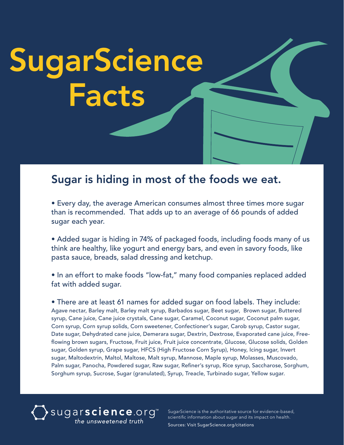## **SugarScience** Facts

#### Sugar is hiding in most of the foods we eat.

• Every day, the average American consumes almost three times more sugar than is recommended. That adds up to an average of 66 pounds of added sugar each year.

• Added sugar is hiding in 74% of packaged foods, including foods many of us think are healthy, like yogurt and energy bars, and even in savory foods, like pasta sauce, breads, salad dressing and ketchup.

• In an effort to make foods "low-fat," many food companies replaced added fat with added sugar.

• There are at least 61 names for added sugar on food labels. They include: Agave nectar, Barley malt, Barley malt syrup, Barbados sugar, Beet sugar, Brown sugar, Buttered syrup, Cane juice, Cane juice crystals, Cane sugar, Caramel, Coconut sugar, Coconut palm sugar, Corn syrup, Corn syrup solids, Corn sweetener, Confectioner's sugar, Carob syrup, Castor sugar, Date sugar, Dehydrated cane juice, Demerara sugar, Dextrin, Dextrose, Evaporated cane juice, Freeflowing brown sugars, Fructose, Fruit juice, Fruit juice concentrate, Glucose, Glucose solids, Golden sugar, Golden syrup, Grape sugar, HFCS (High Fructose Corn Syrup), Honey, Icing sugar, Invert sugar, Maltodextrin, Maltol, Maltose, Malt syrup, Mannose, Maple syrup, Molasses, Muscovado, Palm sugar, Panocha, Powdered sugar, Raw sugar, Refiner's syrup, Rice syrup, Saccharose, Sorghum, Sorghum syrup, Sucrose, Sugar (granulated), Syrup, Treacle, Turbinado sugar, Yellow sugar.



SugarScience is the authoritative source for evidence-based, scientific information about sugar and its impact on health. Sources: Visit SugarScience.org/citations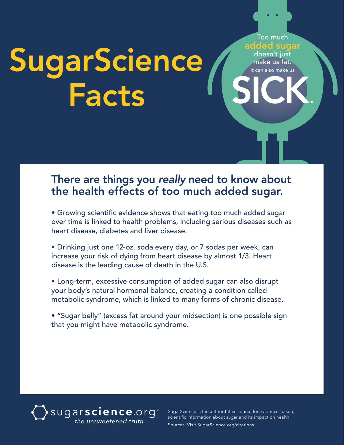### sick. SugarScience Facts

#### There are things you *really* need to know about the health effects of too much added sugar.

- Growing scientific evidence shows that eating too much added sugar over time is linked to health problems, including serious diseases such as heart disease, diabetes and liver disease.
- Drinking just one 12-oz. soda every day, or 7 sodas per week, can increase your risk of dying from heart disease by almost 1/3. Heart disease is the leading cause of death in the U.S.
- Long-term, excessive consumption of added sugar can also disrupt your body's natural hormonal balance, creating a condition called metabolic syndrome, which is linked to many forms of chronic disease.
- "Sugar belly" (excess fat around your midsection) is one possible sign that you might have metabolic syndrome.



SugarScience is the authoritative source for evidence-based, scientific information about sugar and its impact on health. Sources: Visit SugarScience.org/citations

Too much added sugar doesn't just make us fat. It can also make us